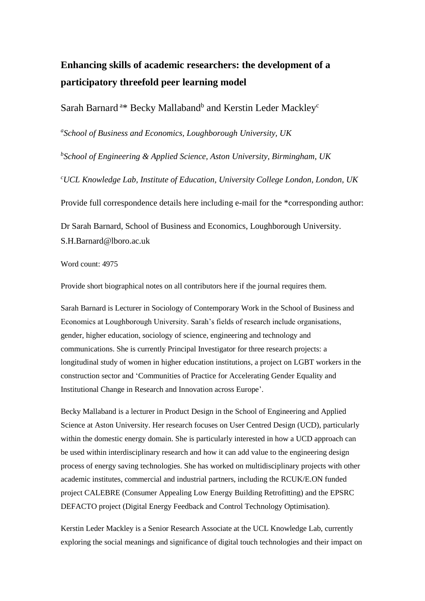# **Enhancing skills of academic researchers: the development of a participatory threefold peer learning model**

# Sarah Barnard<sup>a\*</sup> Becky Mallaband<sup>b</sup> and Kerstin Leder Mackley<sup>c</sup>

*a School of Business and Economics, Loughborough University, UK*

*b School of Engineering & Applied Science, Aston University, Birmingham, UK*

*<sup>c</sup>UCL Knowledge Lab, Institute of Education, University College London, London, UK*

Provide full correspondence details here including e-mail for the \*corresponding author:

Dr Sarah Barnard, School of Business and Economics, Loughborough University. S.H.Barnard@lboro.ac.uk

Word count: 4975

Provide short biographical notes on all contributors here if the journal requires them.

Sarah Barnard is Lecturer in Sociology of Contemporary Work in the School of Business and Economics at Loughborough University. Sarah's fields of research include organisations, gender, higher education, sociology of science, engineering and technology and communications. She is currently Principal Investigator for three research projects: a longitudinal study of women in higher education institutions, a project on LGBT workers in the construction sector and 'Communities of Practice for Accelerating Gender Equality and Institutional Change in Research and Innovation across Europe'.

Becky Mallaband is a lecturer in Product Design in the School of Engineering and Applied Science at Aston University. Her research focuses on User Centred Design (UCD), particularly within the domestic energy domain. She is particularly interested in how a UCD approach can be used within interdisciplinary research and how it can add value to the engineering design process of energy saving technologies. She has worked on multidisciplinary projects with other academic institutes, commercial and industrial partners, including the RCUK/E.ON funded project CALEBRE (Consumer Appealing Low Energy Building Retrofitting) and the EPSRC DEFACTO project (Digital Energy Feedback and Control Technology Optimisation).

Kerstin Leder Mackley is a Senior Research Associate at the UCL Knowledge Lab, currently exploring the social meanings and significance of digital touch technologies and their impact on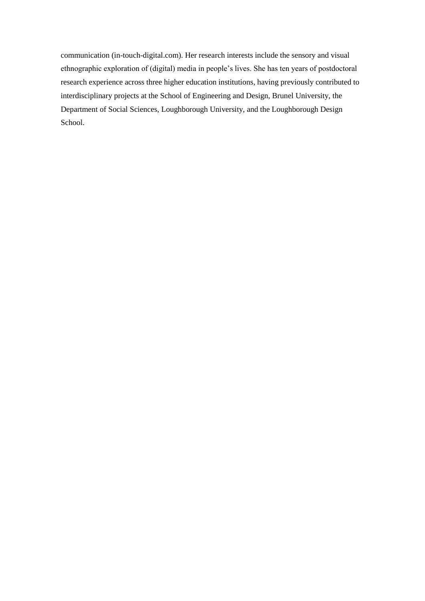communication (in-touch-digital.com). Her research interests include the sensory and visual ethnographic exploration of (digital) media in people's lives. She has ten years of postdoctoral research experience across three higher education institutions, having previously contributed to interdisciplinary projects at the School of Engineering and Design, Brunel University, the Department of Social Sciences, Loughborough University, and the Loughborough Design School.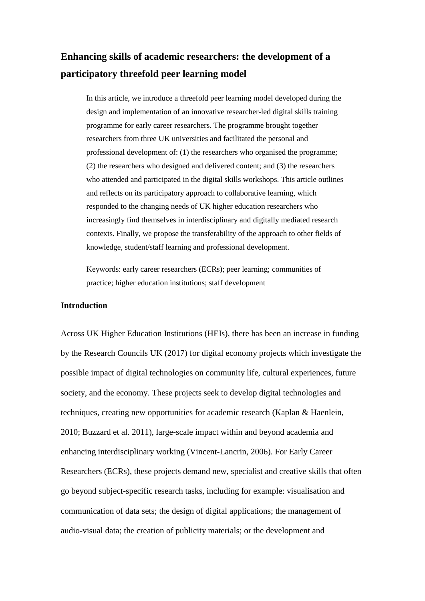# **Enhancing skills of academic researchers: the development of a participatory threefold peer learning model**

In this article, we introduce a threefold peer learning model developed during the design and implementation of an innovative researcher-led digital skills training programme for early career researchers. The programme brought together researchers from three UK universities and facilitated the personal and professional development of: (1) the researchers who organised the programme; (2) the researchers who designed and delivered content; and (3) the researchers who attended and participated in the digital skills workshops. This article outlines and reflects on its participatory approach to collaborative learning, which responded to the changing needs of UK higher education researchers who increasingly find themselves in interdisciplinary and digitally mediated research contexts. Finally, we propose the transferability of the approach to other fields of knowledge, student/staff learning and professional development.

Keywords: early career researchers (ECRs); peer learning; communities of practice; higher education institutions; staff development

# **Introduction**

Across UK Higher Education Institutions (HEIs), there has been an increase in funding by the Research Councils UK (2017) for digital economy projects which investigate the possible impact of digital technologies on community life, cultural experiences, future society, and the economy. These projects seek to develop digital technologies and techniques, creating new opportunities for academic research (Kaplan & Haenlein, 2010; Buzzard et al. 2011), large-scale impact within and beyond academia and enhancing interdisciplinary working (Vincent-Lancrin, 2006). For Early Career Researchers (ECRs), these projects demand new, specialist and creative skills that often go beyond subject-specific research tasks, including for example: visualisation and communication of data sets; the design of digital applications; the management of audio-visual data; the creation of publicity materials; or the development and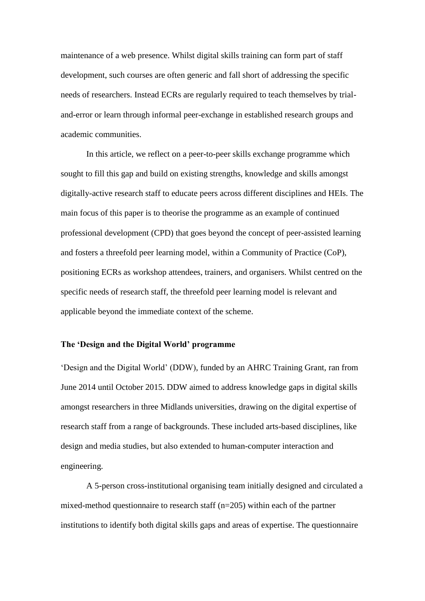maintenance of a web presence. Whilst digital skills training can form part of staff development, such courses are often generic and fall short of addressing the specific needs of researchers. Instead ECRs are regularly required to teach themselves by trialand-error or learn through informal peer-exchange in established research groups and academic communities.

In this article, we reflect on a peer-to-peer skills exchange programme which sought to fill this gap and build on existing strengths, knowledge and skills amongst digitally-active research staff to educate peers across different disciplines and HEIs. The main focus of this paper is to theorise the programme as an example of continued professional development (CPD) that goes beyond the concept of peer-assisted learning and fosters a threefold peer learning model, within a Community of Practice (CoP), positioning ECRs as workshop attendees, trainers, and organisers. Whilst centred on the specific needs of research staff, the threefold peer learning model is relevant and applicable beyond the immediate context of the scheme.

# **The 'Design and the Digital World' programme**

'Design and the Digital World' (DDW), funded by an AHRC Training Grant, ran from June 2014 until October 2015. DDW aimed to address knowledge gaps in digital skills amongst researchers in three Midlands universities, drawing on the digital expertise of research staff from a range of backgrounds. These included arts-based disciplines, like design and media studies, but also extended to human-computer interaction and engineering.

A 5-person cross-institutional organising team initially designed and circulated a mixed-method questionnaire to research staff (n=205) within each of the partner institutions to identify both digital skills gaps and areas of expertise. The questionnaire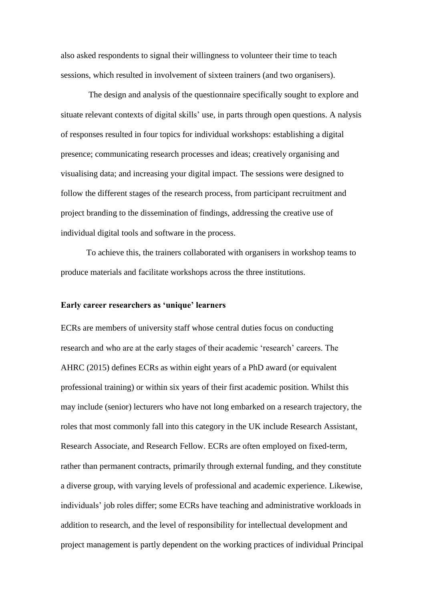also asked respondents to signal their willingness to volunteer their time to teach sessions, which resulted in involvement of sixteen trainers (and two organisers).

The design and analysis of the questionnaire specifically sought to explore and situate relevant contexts of digital skills' use, in parts through open questions. A nalysis of responses resulted in four topics for individual workshops: establishing a digital presence; communicating research processes and ideas; creatively organising and visualising data; and increasing your digital impact. The sessions were designed to follow the different stages of the research process, from participant recruitment and project branding to the dissemination of findings, addressing the creative use of individual digital tools and software in the process.

To achieve this, the trainers collaborated with organisers in workshop teams to produce materials and facilitate workshops across the three institutions.

#### **Early career researchers as 'unique' learners**

ECRs are members of university staff whose central duties focus on conducting research and who are at the early stages of their academic 'research' careers. The AHRC (2015) defines ECRs as within eight years of a PhD award (or equivalent professional training) or within six years of their first academic position. Whilst this may include (senior) lecturers who have not long embarked on a research trajectory, the roles that most commonly fall into this category in the UK include Research Assistant, Research Associate, and Research Fellow. ECRs are often employed on fixed-term, rather than permanent contracts, primarily through external funding, and they constitute a diverse group, with varying levels of professional and academic experience. Likewise, individuals' job roles differ; some ECRs have teaching and administrative workloads in addition to research, and the level of responsibility for intellectual development and project management is partly dependent on the working practices of individual Principal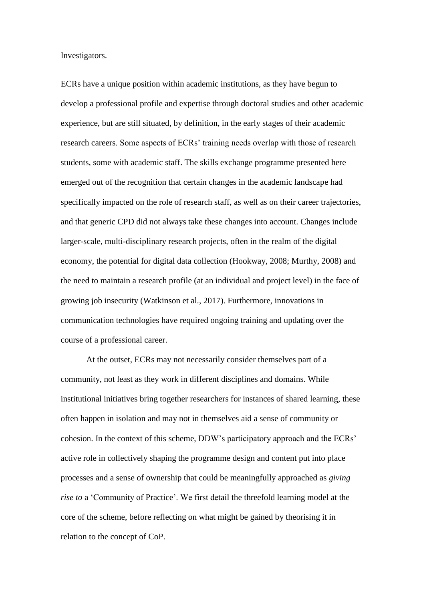Investigators.

ECRs have a unique position within academic institutions, as they have begun to develop a professional profile and expertise through doctoral studies and other academic experience, but are still situated, by definition, in the early stages of their academic research careers. Some aspects of ECRs' training needs overlap with those of research students, some with academic staff. The skills exchange programme presented here emerged out of the recognition that certain changes in the academic landscape had specifically impacted on the role of research staff, as well as on their career trajectories, and that generic CPD did not always take these changes into account. Changes include larger-scale, multi-disciplinary research projects, often in the realm of the digital economy, the potential for digital data collection (Hookway, 2008; Murthy, 2008) and the need to maintain a research profile (at an individual and project level) in the face of growing job insecurity (Watkinson et al., 2017). Furthermore, innovations in communication technologies have required ongoing training and updating over the course of a professional career.

At the outset, ECRs may not necessarily consider themselves part of a community, not least as they work in different disciplines and domains. While institutional initiatives bring together researchers for instances of shared learning, these often happen in isolation and may not in themselves aid a sense of community or cohesion. In the context of this scheme, DDW's participatory approach and the ECRs' active role in collectively shaping the programme design and content put into place processes and a sense of ownership that could be meaningfully approached as *giving rise to* a 'Community of Practice'. We first detail the threefold learning model at the core of the scheme, before reflecting on what might be gained by theorising it in relation to the concept of CoP.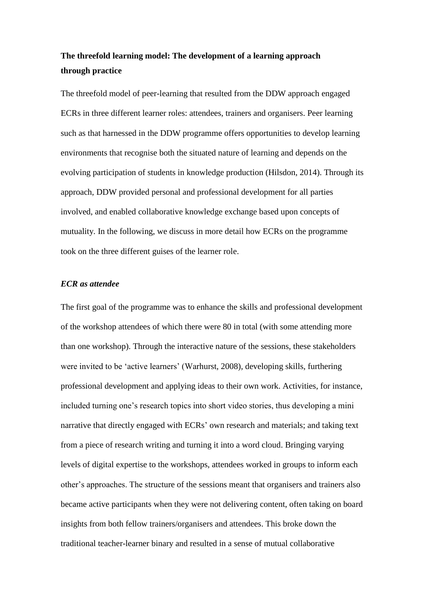# **The threefold learning model: The development of a learning approach through practice**

The threefold model of peer-learning that resulted from the DDW approach engaged ECRs in three different learner roles: attendees, trainers and organisers. Peer learning such as that harnessed in the DDW programme offers opportunities to develop learning environments that recognise both the situated nature of learning and depends on the evolving participation of students in knowledge production (Hilsdon, 2014). Through its approach, DDW provided personal and professional development for all parties involved, and enabled collaborative knowledge exchange based upon concepts of mutuality. In the following, we discuss in more detail how ECRs on the programme took on the three different guises of the learner role.

### *ECR as attendee*

The first goal of the programme was to enhance the skills and professional development of the workshop attendees of which there were 80 in total (with some attending more than one workshop). Through the interactive nature of the sessions, these stakeholders were invited to be 'active learners' (Warhurst, 2008), developing skills, furthering professional development and applying ideas to their own work. Activities, for instance, included turning one's research topics into short video stories, thus developing a mini narrative that directly engaged with ECRs' own research and materials; and taking text from a piece of research writing and turning it into a word cloud. Bringing varying levels of digital expertise to the workshops, attendees worked in groups to inform each other's approaches. The structure of the sessions meant that organisers and trainers also became active participants when they were not delivering content, often taking on board insights from both fellow trainers/organisers and attendees. This broke down the traditional teacher-learner binary and resulted in a sense of mutual collaborative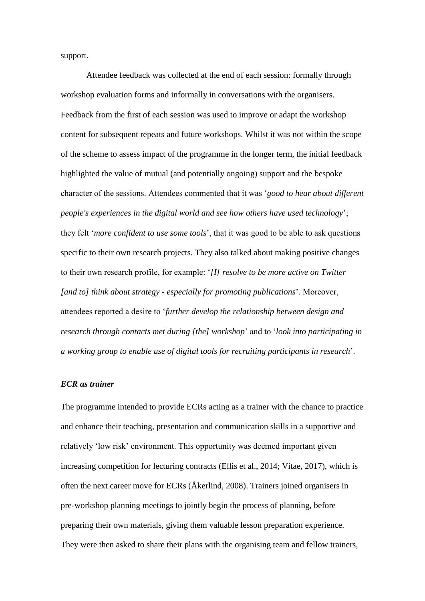support.

Attendee feedback was collected at the end of each session: formally through workshop evaluation forms and informally in conversations with the organisers. Feedback from the first of each session was used to improve or adapt the workshop content for subsequent repeats and future workshops. Whilst it was not within the scope of the scheme to assess impact of the programme in the longer term, the initial feedback highlighted the value of mutual (and potentially ongoing) support and the bespoke character of the sessions. Attendees commented that it was '*good to hear about different people's experiences in the digital world and see how others have used technology*'; they felt '*more confident to use some tools*', that it was good to be able to ask questions specific to their own research projects. They also talked about making positive changes to their own research profile, for example: '*[I] resolve to be more active on Twitter [and to] think about strategy - especially for promoting publications*'. Moreover, attendees reported a desire to '*further develop the relationship between design and research through contacts met during [the] workshop*' and to '*look into participating in a working group to enable use of digital tools for recruiting participants in research*'.

#### *ECR as trainer*

The programme intended to provide ECRs acting as a trainer with the chance to practice and enhance their teaching, presentation and communication skills in a supportive and relatively 'low risk' environment. This opportunity was deemed important given increasing competition for lecturing contracts (Ellis et al., 2014; Vitae, 2017), which is often the next career move for ECRs (Åkerlind, 2008). Trainers joined organisers in pre-workshop planning meetings to jointly begin the process of planning, before preparing their own materials, giving them valuable lesson preparation experience. They were then asked to share their plans with the organising team and fellow trainers,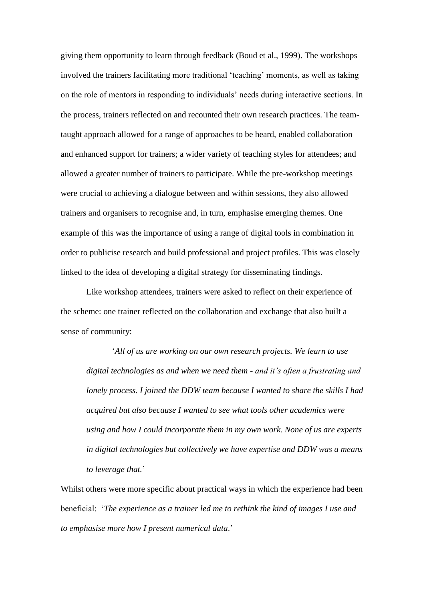giving them opportunity to learn through feedback (Boud et al., 1999). The workshops involved the trainers facilitating more traditional 'teaching' moments, as well as taking on the role of mentors in responding to individuals' needs during interactive sections. In the process, trainers reflected on and recounted their own research practices. The teamtaught approach allowed for a range of approaches to be heard, enabled collaboration and enhanced support for trainers; a wider variety of teaching styles for attendees; and allowed a greater number of trainers to participate. While the pre-workshop meetings were crucial to achieving a dialogue between and within sessions, they also allowed trainers and organisers to recognise and, in turn, emphasise emerging themes. One example of this was the importance of using a range of digital tools in combination in order to publicise research and build professional and project profiles. This was closely linked to the idea of developing a digital strategy for disseminating findings.

Like workshop attendees, trainers were asked to reflect on their experience of the scheme: one trainer reflected on the collaboration and exchange that also built a sense of community:

'*All of us are working on our own research projects. We learn to use digital technologies as and when we need them - and it's often a frustrating and lonely process. I joined the DDW team because I wanted to share the skills I had acquired but also because I wanted to see what tools other academics were using and how I could incorporate them in my own work. None of us are experts in digital technologies but collectively we have expertise and DDW was a means to leverage that.*'

Whilst others were more specific about practical ways in which the experience had been beneficial: '*The experience as a trainer led me to rethink the kind of images I use and to emphasise more how I present numerical data*.'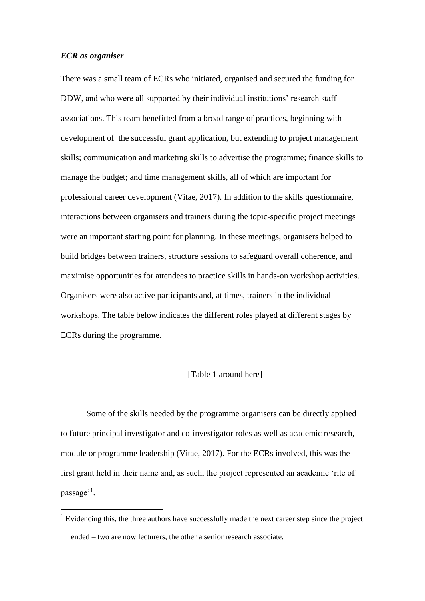#### *ECR as organiser*

1

There was a small team of ECRs who initiated, organised and secured the funding for DDW, and who were all supported by their individual institutions' research staff associations. This team benefitted from a broad range of practices, beginning with development of the successful grant application, but extending to project management skills; communication and marketing skills to advertise the programme; finance skills to manage the budget; and time management skills, all of which are important for professional career development (Vitae, 2017). In addition to the skills questionnaire, interactions between organisers and trainers during the topic-specific project meetings were an important starting point for planning. In these meetings, organisers helped to build bridges between trainers, structure sessions to safeguard overall coherence, and maximise opportunities for attendees to practice skills in hands-on workshop activities. Organisers were also active participants and, at times, trainers in the individual workshops. The table below indicates the different roles played at different stages by ECRs during the programme.

# [Table 1 around here]

Some of the skills needed by the programme organisers can be directly applied to future principal investigator and co-investigator roles as well as academic research, module or programme leadership (Vitae, 2017). For the ECRs involved, this was the first grant held in their name and, as such, the project represented an academic 'rite of passage'<sup>1</sup>.

 $<sup>1</sup>$  Evidencing this, the three authors have successfully made the next career step since the project</sup> ended – two are now lecturers, the other a senior research associate.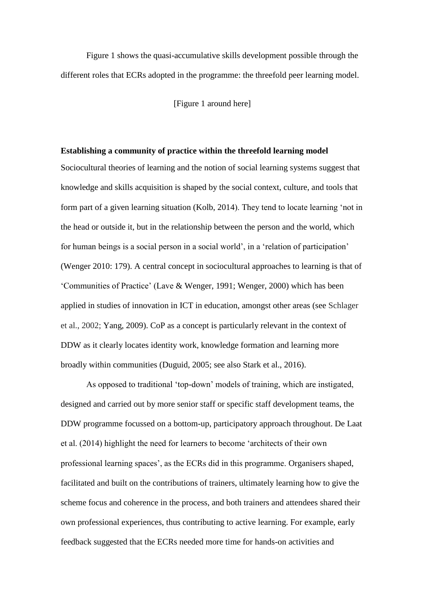Figure 1 shows the quasi-accumulative skills development possible through the different roles that ECRs adopted in the programme: the threefold peer learning model.

[Figure 1 around here]

#### **Establishing a community of practice within the threefold learning model**

Sociocultural theories of learning and the notion of social learning systems suggest that knowledge and skills acquisition is shaped by the social context, culture, and tools that form part of a given learning situation (Kolb, 2014). They tend to locate learning 'not in the head or outside it, but in the relationship between the person and the world, which for human beings is a social person in a social world', in a 'relation of participation' (Wenger 2010: 179). A central concept in sociocultural approaches to learning is that of 'Communities of Practice' (Lave & Wenger, 1991; Wenger, 2000) which has been applied in studies of innovation in ICT in education, amongst other areas (see Schlager et al., 2002; Yang, 2009). CoP as a concept is particularly relevant in the context of DDW as it clearly locates identity work, knowledge formation and learning more broadly within communities (Duguid, 2005; see also Stark et al., 2016).

As opposed to traditional 'top-down' models of training, which are instigated, designed and carried out by more senior staff or specific staff development teams, the DDW programme focussed on a bottom-up, participatory approach throughout. De Laat et al. (2014) highlight the need for learners to become 'architects of their own professional learning spaces', as the ECRs did in this programme. Organisers shaped, facilitated and built on the contributions of trainers, ultimately learning how to give the scheme focus and coherence in the process, and both trainers and attendees shared their own professional experiences, thus contributing to active learning. For example, early feedback suggested that the ECRs needed more time for hands-on activities and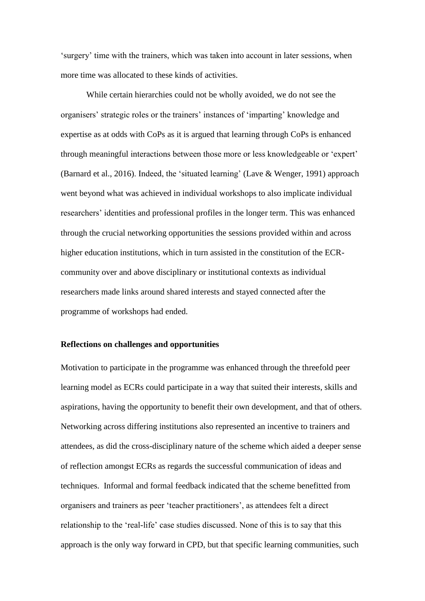'surgery' time with the trainers, which was taken into account in later sessions, when more time was allocated to these kinds of activities.

While certain hierarchies could not be wholly avoided, we do not see the organisers' strategic roles or the trainers' instances of 'imparting' knowledge and expertise as at odds with CoPs as it is argued that learning through CoPs is enhanced through meaningful interactions between those more or less knowledgeable or 'expert' (Barnard et al., 2016). Indeed, the 'situated learning' (Lave & Wenger, 1991) approach went beyond what was achieved in individual workshops to also implicate individual researchers' identities and professional profiles in the longer term. This was enhanced through the crucial networking opportunities the sessions provided within and across higher education institutions, which in turn assisted in the constitution of the ECRcommunity over and above disciplinary or institutional contexts as individual researchers made links around shared interests and stayed connected after the programme of workshops had ended.

### **Reflections on challenges and opportunities**

Motivation to participate in the programme was enhanced through the threefold peer learning model as ECRs could participate in a way that suited their interests, skills and aspirations, having the opportunity to benefit their own development, and that of others. Networking across differing institutions also represented an incentive to trainers and attendees, as did the cross-disciplinary nature of the scheme which aided a deeper sense of reflection amongst ECRs as regards the successful communication of ideas and techniques. Informal and formal feedback indicated that the scheme benefitted from organisers and trainers as peer 'teacher practitioners', as attendees felt a direct relationship to the 'real-life' case studies discussed. None of this is to say that this approach is the only way forward in CPD, but that specific learning communities, such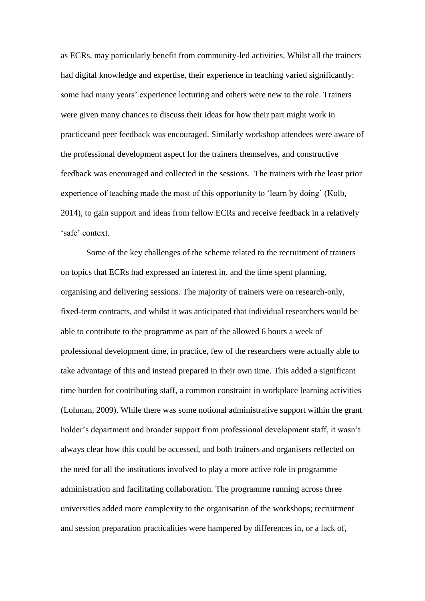as ECRs, may particularly benefit from community-led activities. Whilst all the trainers had digital knowledge and expertise, their experience in teaching varied significantly: some had many years' experience lecturing and others were new to the role. Trainers were given many chances to discuss their ideas for how their part might work in practiceand peer feedback was encouraged. Similarly workshop attendees were aware of the professional development aspect for the trainers themselves, and constructive feedback was encouraged and collected in the sessions. The trainers with the least prior experience of teaching made the most of this opportunity to 'learn by doing' (Kolb, 2014), to gain support and ideas from fellow ECRs and receive feedback in a relatively 'safe' context.

Some of the key challenges of the scheme related to the recruitment of trainers on topics that ECRs had expressed an interest in, and the time spent planning, organising and delivering sessions. The majority of trainers were on research-only, fixed-term contracts, and whilst it was anticipated that individual researchers would be able to contribute to the programme as part of the allowed 6 hours a week of professional development time, in practice, few of the researchers were actually able to take advantage of this and instead prepared in their own time. This added a significant time burden for contributing staff, a common constraint in workplace learning activities (Lohman, 2009). While there was some notional administrative support within the grant holder's department and broader support from professional development staff, it wasn't always clear how this could be accessed, and both trainers and organisers reflected on the need for all the institutions involved to play a more active role in programme administration and facilitating collaboration. The programme running across three universities added more complexity to the organisation of the workshops; recruitment and session preparation practicalities were hampered by differences in, or a lack of,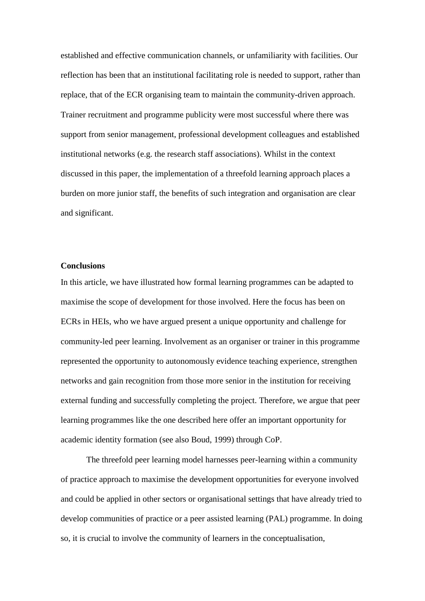established and effective communication channels, or unfamiliarity with facilities. Our reflection has been that an institutional facilitating role is needed to support, rather than replace, that of the ECR organising team to maintain the community-driven approach. Trainer recruitment and programme publicity were most successful where there was support from senior management, professional development colleagues and established institutional networks (e.g. the research staff associations). Whilst in the context discussed in this paper, the implementation of a threefold learning approach places a burden on more junior staff, the benefits of such integration and organisation are clear and significant.

# **Conclusions**

In this article, we have illustrated how formal learning programmes can be adapted to maximise the scope of development for those involved. Here the focus has been on ECRs in HEIs, who we have argued present a unique opportunity and challenge for community-led peer learning. Involvement as an organiser or trainer in this programme represented the opportunity to autonomously evidence teaching experience, strengthen networks and gain recognition from those more senior in the institution for receiving external funding and successfully completing the project. Therefore, we argue that peer learning programmes like the one described here offer an important opportunity for academic identity formation (see also Boud, 1999) through CoP.

The threefold peer learning model harnesses peer-learning within a community of practice approach to maximise the development opportunities for everyone involved and could be applied in other sectors or organisational settings that have already tried to develop communities of practice or a peer assisted learning (PAL) programme. In doing so, it is crucial to involve the community of learners in the conceptualisation,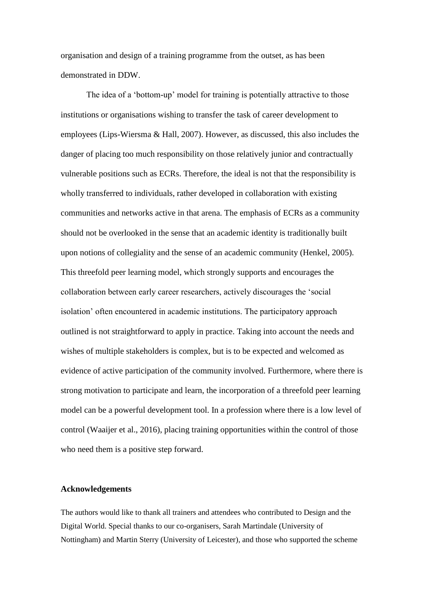organisation and design of a training programme from the outset, as has been demonstrated in DDW.

The idea of a 'bottom-up' model for training is potentially attractive to those institutions or organisations wishing to transfer the task of career development to employees (Lips-Wiersma & Hall, 2007). However, as discussed, this also includes the danger of placing too much responsibility on those relatively junior and contractually vulnerable positions such as ECRs. Therefore, the ideal is not that the responsibility is wholly transferred to individuals, rather developed in collaboration with existing communities and networks active in that arena. The emphasis of ECRs as a community should not be overlooked in the sense that an academic identity is traditionally built upon notions of collegiality and the sense of an academic community (Henkel, 2005). This threefold peer learning model, which strongly supports and encourages the collaboration between early career researchers, actively discourages the 'social isolation' often encountered in academic institutions. The participatory approach outlined is not straightforward to apply in practice. Taking into account the needs and wishes of multiple stakeholders is complex, but is to be expected and welcomed as evidence of active participation of the community involved. Furthermore, where there is strong motivation to participate and learn, the incorporation of a threefold peer learning model can be a powerful development tool. In a profession where there is a low level of control (Waaijer et al., 2016), placing training opportunities within the control of those who need them is a positive step forward.

# **Acknowledgements**

The authors would like to thank all trainers and attendees who contributed to Design and the Digital World. Special thanks to our co-organisers, Sarah Martindale (University of Nottingham) and Martin Sterry (University of Leicester), and those who supported the scheme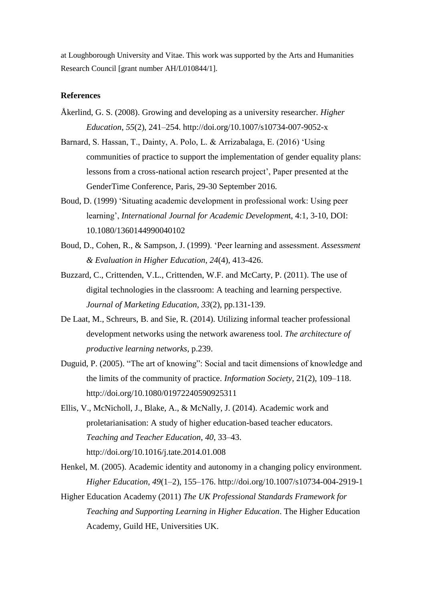at Loughborough University and Vitae. This work was supported by the Arts and Humanities Research Council [grant number AH/L010844/1].

# **References**

- Åkerlind, G. S. (2008). Growing and developing as a university researcher. *Higher Education*, *55*(2), 241–254. http://doi.org/10.1007/s10734-007-9052-x
- Barnard, S. Hassan, T., Dainty, A. Polo, L. & Arrizabalaga, E. (2016) 'Using communities of practice to support the implementation of gender equality plans: lessons from a cross-national action research project', Paper presented at the GenderTime Conference, Paris, 29-30 September 2016.
- Boud, D. (1999) 'Situating academic development in professional work: Using peer learning', *International Journal for Academic Developmen*t, 4:1, 3-10, DOI: 10.1080/1360144990040102
- Boud, D., Cohen, R., & Sampson, J. (1999). 'Peer learning and assessment. *Assessment & Evaluation in Higher Education*, *24*(4), 413-426.
- Buzzard, C., Crittenden, V.L., Crittenden, W.F. and McCarty, P. (2011). The use of digital technologies in the classroom: A teaching and learning perspective. *Journal of Marketing Education*, *33*(2), pp.131-139.
- De Laat, M., Schreurs, B. and Sie, R. (2014). Utilizing informal teacher professional development networks using the network awareness tool. *The architecture of productive learning networks*, p.239.
- Duguid, P. (2005). "The art of knowing": Social and tacit dimensions of knowledge and the limits of the community of practice. *Information Society*, 21(2), 109–118. http://doi.org/10.1080/01972240590925311
- Ellis, V., McNicholl, J., Blake, A., & McNally, J. (2014). Academic work and proletarianisation: A study of higher education-based teacher educators. *Teaching and Teacher Education*, *40*, 33–43. http://doi.org/10.1016/j.tate.2014.01.008
- Henkel, M. (2005). Academic identity and autonomy in a changing policy environment. *Higher Education*, *49*(1–2), 155–176. http://doi.org/10.1007/s10734-004-2919-1
- Higher Education Academy (2011) *The UK Professional Standards Framework for Teaching and Supporting Learning in Higher Education*. The Higher Education Academy, Guild HE, Universities UK.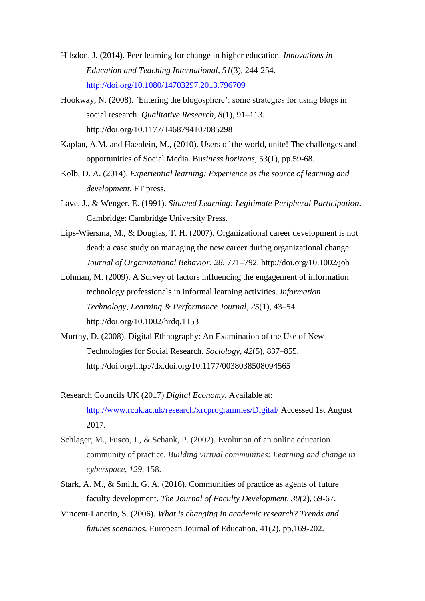- Hilsdon, J. (2014). Peer learning for change in higher education. *Innovations in Education and Teaching International*, *51*(3), 244-254. <http://doi.org/10.1080/14703297.2013.796709>
- Hookway, N. (2008). `Entering the blogosphere': some strategies for using blogs in social research. *Qualitative Research*, *8*(1), 91–113. http://doi.org/10.1177/1468794107085298
- Kaplan, A.M. and Haenlein, M., (2010). Users of the world, unite! The challenges and opportunities of Social Media. Bu*siness horizons*, 53(1), pp.59-68.
- Kolb, D. A. (2014). *Experiential learning: Experience as the source of learning and development*. FT press.
- Lave, J., & Wenger, E. (1991). *Situated Learning: Legitimate Peripheral Participation*. Cambridge: Cambridge University Press.
- Lips-Wiersma, M., & Douglas, T. H. (2007). Organizational career development is not dead: a case study on managing the new career during organizational change. *Journal of Organizational Behavior*, *28*, 771–792. http://doi.org/10.1002/job
- Lohman, M. (2009). A Survey of factors influencing the engagement of information technology professionals in informal learning activities. *Information Technology, Learning & Performance Journal*, *25*(1), 43–54. http://doi.org/10.1002/hrdq.1153
- Murthy, D. (2008). Digital Ethnography: An Examination of the Use of New Technologies for Social Research. *Sociology*, *42*(5), 837–855. http://doi.org/http://dx.doi.org/10.1177/0038038508094565
- Research Councils UK (2017) *Digital Economy*. Available at: <http://www.rcuk.ac.uk/research/xrcprogrammes/Digital/> Accessed 1st August 2017.
- Schlager, M., Fusco, J., & Schank, P. (2002). Evolution of an online education community of practice. *Building virtual communities: Learning and change in cyberspace*, *129*, 158.
- Stark, A. M., & Smith, G. A. (2016). Communities of practice as agents of future faculty development. *The Journal of Faculty Development*, *30*(2), 59-67.
- Vincent‐Lancrin, S. (2006). *What is changing in academic research? Trends and futures scenarios.* European Journal of Education, 41(2), pp.169-202.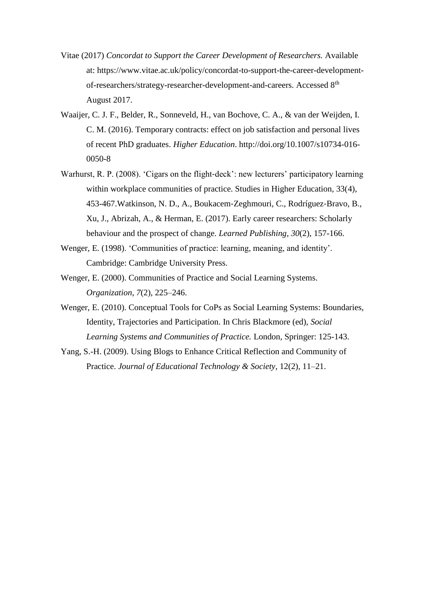- Vitae (2017) *Concordat to Support the Career Development of Researchers.* Available at: https://www.vitae.ac.uk/policy/concordat-to-support-the-career-developmentof-researchers/strategy-researcher-development-and-careers. Accessed 8th August 2017.
- Waaijer, C. J. F., Belder, R., Sonneveld, H., van Bochove, C. A., & van der Weijden, I. C. M. (2016). Temporary contracts: effect on job satisfaction and personal lives of recent PhD graduates. *Higher Education*. http://doi.org/10.1007/s10734-016- 0050-8
- Warhurst, R. P. (2008). 'Cigars on the flight‐deck': new lecturers' participatory learning within workplace communities of practice. Studies in Higher Education, 33(4), 453-467.Watkinson, N. D., A., Boukacem‐Zeghmouri, C., Rodríguez‐Bravo, B., Xu, J., Abrizah, A., & Herman, E. (2017). Early career researchers: Scholarly behaviour and the prospect of change. *Learned Publishing*, *30*(2), 157-166.
- Wenger, E. (1998). 'Communities of practice: learning, meaning, and identity'. Cambridge: Cambridge University Press.
- Wenger, E. (2000). Communities of Practice and Social Learning Systems. *Organization*, *7*(2), 225–246.
- Wenger, E. (2010). Conceptual Tools for CoPs as Social Learning Systems: Boundaries, Identity, Trajectories and Participation. In Chris Blackmore (ed), *Social Learning Systems and Communities of Practice.* London, Springer: 125-143.
- Yang, S.-H. (2009). Using Blogs to Enhance Critical Reflection and Community of Practice. *Journal of Educational Technology & Society*, 12(2), 11–21.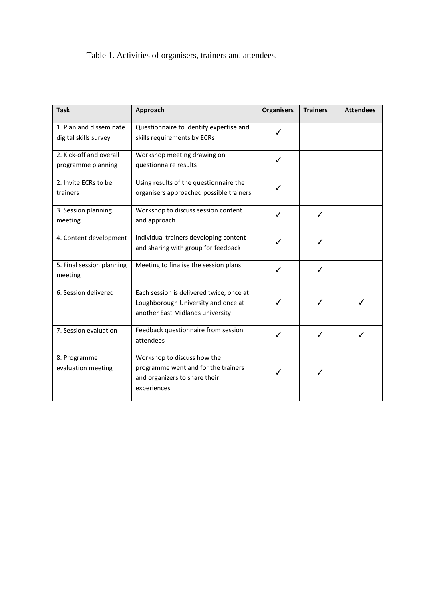Table 1. Activities of organisers, trainers and attendees.

| <b>Task</b>                                      | Approach                                                                                                            | <b>Organisers</b> | <b>Trainers</b> | <b>Attendees</b> |
|--------------------------------------------------|---------------------------------------------------------------------------------------------------------------------|-------------------|-----------------|------------------|
| 1. Plan and disseminate<br>digital skills survey | Questionnaire to identify expertise and<br>skills requirements by ECRs                                              |                   |                 |                  |
| 2. Kick-off and overall<br>programme planning    | Workshop meeting drawing on<br>questionnaire results                                                                | ✓                 |                 |                  |
| 2. Invite ECRs to be<br>trainers                 | Using results of the questionnaire the<br>organisers approached possible trainers                                   |                   |                 |                  |
| 3. Session planning<br>meeting                   | Workshop to discuss session content<br>and approach                                                                 | ℐ                 | ✓               |                  |
| 4. Content development                           | Individual trainers developing content<br>and sharing with group for feedback                                       |                   |                 |                  |
| 5. Final session planning<br>meeting             | Meeting to finalise the session plans                                                                               |                   | ✓               |                  |
| 6. Session delivered                             | Each session is delivered twice, once at<br>Loughborough University and once at<br>another East Midlands university |                   | ✓               |                  |
| 7. Session evaluation                            | Feedback questionnaire from session<br>attendees                                                                    | ✓                 | ✓               |                  |
| 8. Programme<br>evaluation meeting               | Workshop to discuss how the<br>programme went and for the trainers<br>and organizers to share their<br>experiences  |                   |                 |                  |